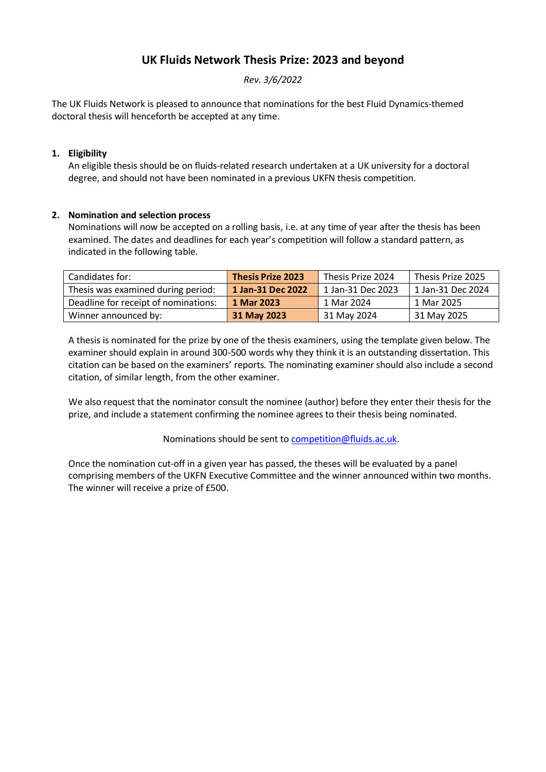# **UK Fluids Network Thesis Prize: 2023 and beyond**

*Rev. 3/6/2022*

The UK Fluids Network is pleased to announce that nominations for the best Fluid Dynamics-themed doctoral thesis will henceforth be accepted at any time.

### **1. Eligibility**

An eligible thesis should be on fluids-related research undertaken at a UK university for a doctoral degree, and should not have been nominated in a previous UKFN thesis competition.

### **2. Nomination and selection process**

Nominations will now be accepted on a rolling basis, i.e. at any time of year after the thesis has been examined. The dates and deadlines for each year's competition will follow a standard pattern, as indicated in the following table.

| Candidates for:                      | <b>Thesis Prize 2023</b> | Thesis Prize 2024 | Thesis Prize 2025 |
|--------------------------------------|--------------------------|-------------------|-------------------|
| Thesis was examined during period:   | 1 Jan-31 Dec 2022        | 1 Jan-31 Dec 2023 | 1 Jan-31 Dec 2024 |
| Deadline for receipt of nominations: | 1 Mar 2023               | 1 Mar 2024        | 1 Mar 2025        |
| Winner announced by:                 | 31 May 2023              | 31 May 2024       | 31 May 2025       |

A thesis is nominated for the prize by one of the thesis examiners, using the template given below. The examiner should explain in around 300-500 words why they think it is an outstanding dissertation. This citation can be based on the examiners' reports. The nominating examiner should also include a second citation, of similar length, from the other examiner.

We also request that the nominator consult the nominee (author) before they enter their thesis for the prize, and include a statement confirming the nominee agrees to their thesis being nominated.

Nominations should be sent t[o competition@fluids.ac.uk.](mailto:competition@fluids.ac.uk)

Once the nomination cut-off in a given year has passed, the theses will be evaluated by a panel comprising members of the UKFN Executive Committee and the winner announced within two months. The winner will receive a prize of £500.